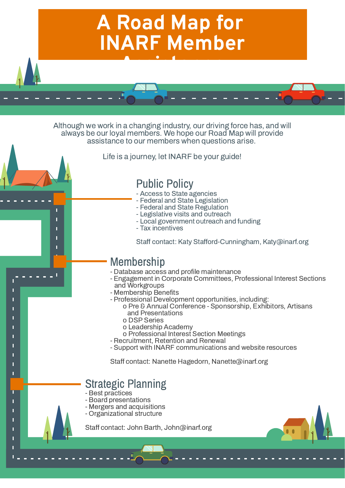Although we work in a changing industry, our driving force has, and will always be our loyal members. We hope our Road Map will provide assistance to our members when questions arise.

Life is a journey, let INARF be your guide!



- Access to State agencies
- Federal and State Legislation
- Federal and State Regulation
- Legislative visits and outreach
- Local government outreach and funding
- Tax incentives

Staff contact: Katy Stafford-Cunningham, Katy@inarf.org

- Best practices

Π

- Board presentations
- Mergers and acquisitions
- Organizational structure

Staff contact: John Barth, John@inarf.org

## Strategic Planning

- Database access and profile maintenance
- Engagement in Corporate Committees, Professional Interest Sections and Workgroups
- Membership Benefits
- Professional Development opportunities, including:
	- o Pre & Annual Conference Sponsorship, Exhibitors, Artisans and Presentations
		- o DSP Series
		- o Leadership Academy
	- o Professional Interest Section Meetings
- Recruitment, Retention and Renewal
- 

- Support with INARF communications and website resources

Staff contact: Nanette Hagedorn, Nanette@inarf.org

## Membership

# Public Policy